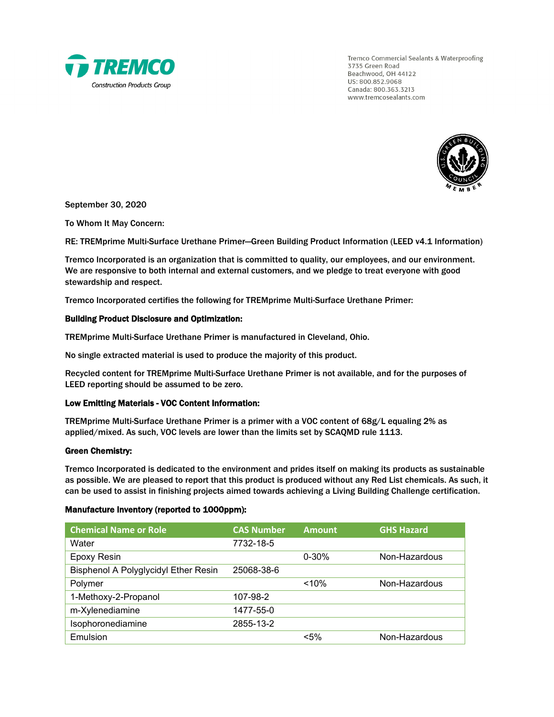

Tremco Commercial Sealants & Waterproofing 3735 Green Road Beachwood, OH 44122 US: 800.852.9068 Canada: 800.363.3213 www.tremcosealants.com



September 30, 2020

To Whom It May Concern:

RE: TREMprime Multi-Surface Urethane Primer—Green Building Product Information (LEED v4.1 Information)

Tremco Incorporated is an organization that is committed to quality, our employees, and our environment. We are responsive to both internal and external customers, and we pledge to treat everyone with good stewardship and respect.

Tremco Incorporated certifies the following for TREMprime Multi-Surface Urethane Primer:

## Building Product Disclosure and Optimization:

TREMprime Multi-Surface Urethane Primer is manufactured in Cleveland, Ohio.

No single extracted material is used to produce the majority of this product.

Recycled content for TREMprime Multi-Surface Urethane Primer is not available, and for the purposes of LEED reporting should be assumed to be zero.

### Low Emitting Materials - VOC Content Information:

TREMprime Multi-Surface Urethane Primer is a primer with a VOC content of 68g/L equaling 2% as applied/mixed. As such, VOC levels are lower than the limits set by SCAQMD rule 1113.

### Green Chemistry:

Tremco Incorporated is dedicated to the environment and prides itself on making its products as sustainable as possible. We are pleased to report that this product is produced without any Red List chemicals. As such, it can be used to assist in finishing projects aimed towards achieving a Living Building Challenge certification.

### Manufacture Inventory (reported to 1000ppm):

| <b>Chemical Name or Role</b>         | <b>CAS Number</b> | <b>Amount</b> | <b>GHS Hazard</b> |
|--------------------------------------|-------------------|---------------|-------------------|
| Water                                | 7732-18-5         |               |                   |
| <b>Epoxy Resin</b>                   |                   | $0 - 30%$     | Non-Hazardous     |
| Bisphenol A Polyglycidyl Ether Resin | 25068-38-6        |               |                   |
| Polymer                              |                   | < 10%         | Non-Hazardous     |
| 1-Methoxy-2-Propanol                 | 107-98-2          |               |                   |
| m-Xylenediamine                      | 1477-55-0         |               |                   |
| Isophoronediamine                    | 2855-13-2         |               |                   |
| Emulsion                             |                   | $< 5\%$       | Non-Hazardous     |